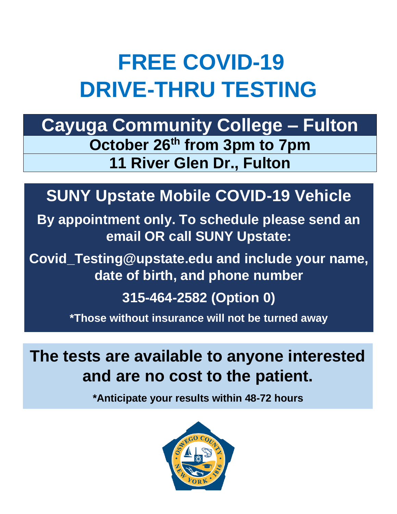# **FREE COVID-19 DRIVE-THRU TESTING**

**Cayuga Community College – Fulton October 26th from 3pm to 7pm 11 River Glen Dr., Fulton**

### **SUNY Upstate Mobile COVID-19 Vehicle**

**By appointment only. To schedule please send an email OR call SUNY Upstate:**

**Covid\_Testing@upstate.edu and include your name, date of birth, and phone number**

**315-464-2582 (Option 0)**

**\*Those without insurance will not be turned away**

**The tests are available to anyone interested and are no cost to the patient.**

**\*Anticipate your results within 48-72 hours**